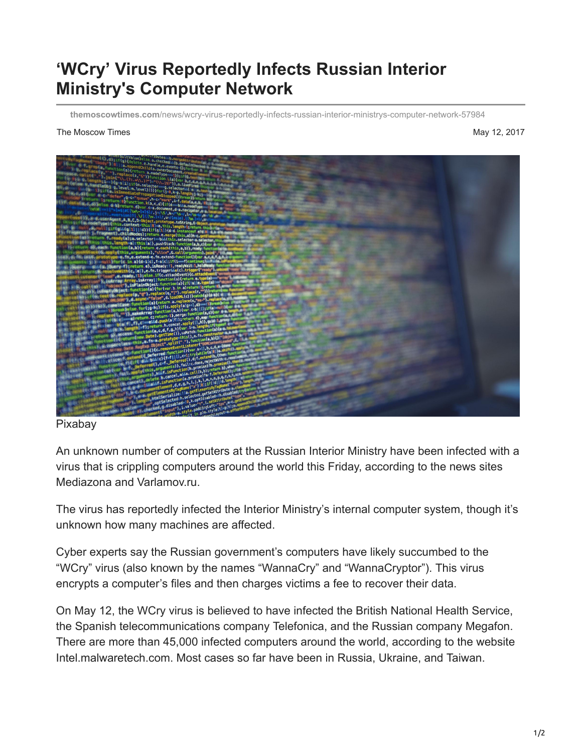## **'WCry' Virus Reportedly Infects Russian Interior Ministry's Computer Network**

**themoscowtimes.com**[/news/wcry-virus-reportedly-infects-russian-interior-ministrys-computer-network-57984](https://themoscowtimes.com/news/wcry-virus-reportedly-infects-russian-interior-ministrys-computer-network-57984)

## The Moscow Times May 12, 2017



## Pixabay

An unknown number of computers at the Russian Interior Ministry have been infected with a virus that is crippling computers around the world this Friday, according to the news sites Mediazona and Varlamov.ru.

The virus has reportedly infected the Interior Ministry's internal computer system, though it's unknown how many machines are affected.

Cyber experts say the Russian government's computers have likely succumbed to the "WCry" virus (also known by the names "WannaCry" and "WannaCryptor"). This virus encrypts a computer's files and then charges victims a fee to recover their data.

On May 12, the WCry virus is believed to have infected the British National Health Service, the Spanish telecommunications company Telefonica, and the Russian company Megafon. There are more than 45,000 infected computers around the world, according to the website Intel.malwaretech.com. Most cases so far have been in Russia, Ukraine, and Taiwan.